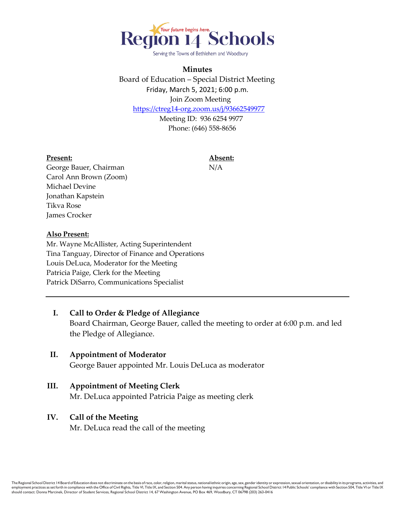

Serving the Towns of Bethlehem and Woodbury

### **Minutes**

Board of Education – Special District Meeting Friday, March 5, 2021; 6:00 p.m. Join Zoom Meeting <https://ctreg14-org.zoom.us/j/93662549977> Meeting ID: 936 6254 9977

Phone: (646) 558-8656

#### **Present: Absent:**

George Bauer, Chairman N/A Carol Ann Brown (Zoom) Michael Devine Jonathan Kapstein Tikva Rose James Crocker

#### **Also Present:**

Mr. Wayne McAllister, Acting Superintendent Tina Tanguay, Director of Finance and Operations Louis DeLuca, Moderator for the Meeting Patricia Paige, Clerk for the Meeting Patrick DiSarro, Communications Specialist

**I. Call to Order & Pledge of Allegiance** Board Chairman, George Bauer, called the meeting to order at 6:00 p.m. and led the Pledge of Allegiance. **II. Appointment of Moderator**

George Bauer appointed Mr. Louis DeLuca as moderator

**III. Appointment of Meeting Clerk** Mr. DeLuca appointed Patricia Paige as meeting clerk

### **IV. Call of the Meeting**

Mr. DeLuca read the call of the meeting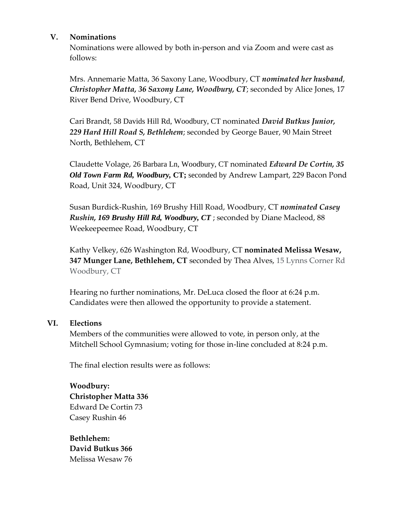## **V. Nominations**

Nominations were allowed by both in-person and via Zoom and were cast as follows:

Mrs. Annemarie Matta, 36 Saxony Lane, Woodbury, CT *nominated her husband*, *Christopher Matta, 36 Saxony Lane, Woodbury, CT*; seconded by Alice Jones, 17 River Bend Drive, Woodbury, CT

Cari Brandt, 58 Davids Hill Rd, Woodbury, CT nominated *David Butkus Junior, 229 Hard Hill Road S, Bethlehem*; seconded by George Bauer, 90 Main Street North, Bethlehem, CT

Claudette Volage, 26 Barbara Ln, Woodbury, CT nominated *Edward De Cortin, 35 Old Town Farm Rd, Woodbury,* **CT;** seconded by Andrew Lampart, 229 Bacon Pond Road, Unit 324, Woodbury, CT

Susan Burdick-Rushin, 169 Brushy Hill Road, Woodbury, CT *nominated Casey Rushin, 169 Brushy Hill Rd, Woodbury, CT* ; seconded by Diane Macleod, 88 Weekeepeemee Road, Woodbury, CT

Kathy Velkey, 626 Washington Rd, Woodbury, CT **nominated Melissa Wesaw, 347 Munger Lane, Bethlehem, CT** seconded by Thea Alves, 15 Lynns Corner Rd Woodbury, CT

Hearing no further nominations, Mr. DeLuca closed the floor at 6:24 p.m. Candidates were then allowed the opportunity to provide a statement.

## **VI. Elections**

Members of the communities were allowed to vote, in person only, at the Mitchell School Gymnasium; voting for those in-line concluded at 8:24 p.m.

The final election results were as follows:

**Woodbury: Christopher Matta 336**  Edward De Cortin 73 Casey Rushin 46

**Bethlehem: David Butkus 366**  Melissa Wesaw 76